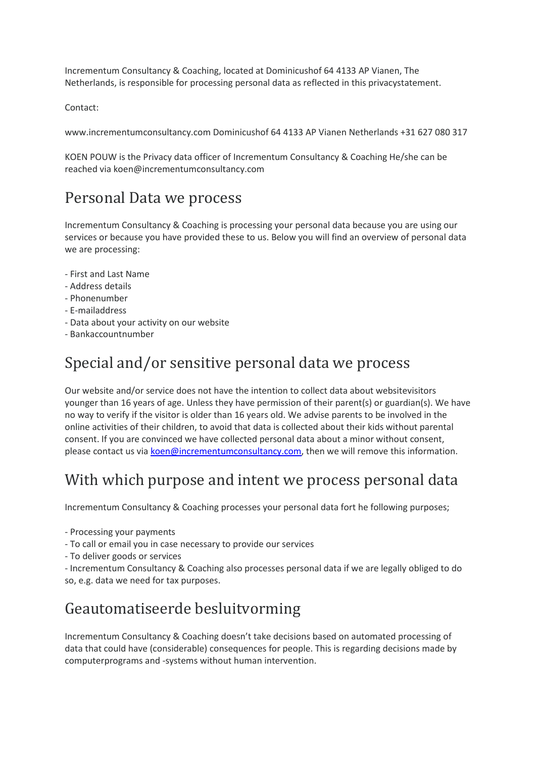Incrementum Consultancy & Coaching, located at Dominicushof 64 4133 AP Vianen, The Netherlands, is responsible for processing personal data as reflected in this privacystatement.

Contact:

www.incrementumconsultancy.com Dominicushof 64 4133 AP Vianen Netherlands +31 627 080 317

KOEN POUW is the Privacy data officer of Incrementum Consultancy & Coaching He/she can be reached via koen@incrementumconsultancy.com

### Personal Data we process

Incrementum Consultancy & Coaching is processing your personal data because you are using our services or because you have provided these to us. Below you will find an overview of personal data we are processing:

- First and Last Name
- Address details
- Phonenumber
- E-mailaddress
- Data about your activity on our website
- Bankaccountnumber

#### Special and/or sensitive personal data we process

Our website and/or service does not have the intention to collect data about websitevisitors younger than 16 years of age. Unless they have permission of their parent(s) or guardian(s). We have no way to verify if the visitor is older than 16 years old. We advise parents to be involved in the online activities of their children, to avoid that data is collected about their kids without parental consent. If you are convinced we have collected personal data about a minor without consent, please contact us via [koen@incrementumconsultancy.com,](mailto:koen@incrementumconsultancy.com) then we will remove this information.

### With which purpose and intent we process personal data

Incrementum Consultancy & Coaching processes your personal data fort he following purposes;

- Processing your payments
- To call or email you in case necessary to provide our services
- To deliver goods or services
- Incrementum Consultancy & Coaching also processes personal data if we are legally obliged to do so, e.g. data we need for tax purposes.

### Geautomatiseerde besluitvorming

Incrementum Consultancy & Coaching doesn't take decisions based on automated processing of data that could have (considerable) consequences for people. This is regarding decisions made by computerprograms and -systems without human intervention.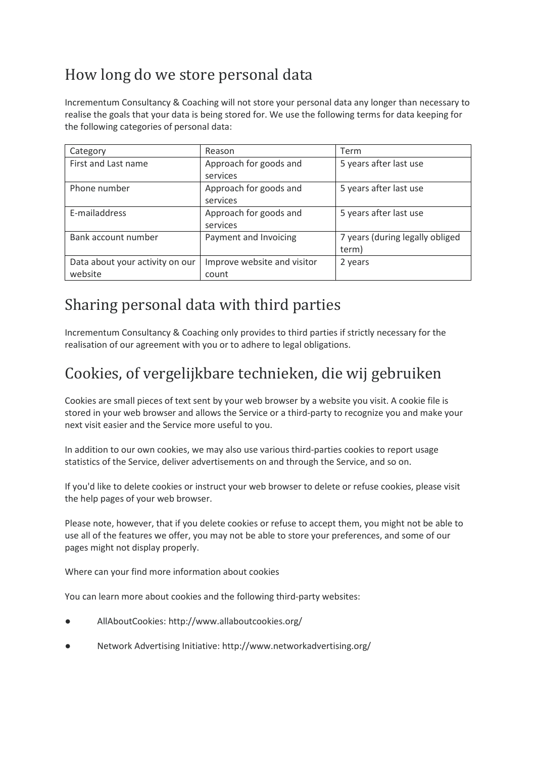# How long do we store personal data

Incrementum Consultancy & Coaching will not store your personal data any longer than necessary to realise the goals that your data is being stored for. We use the following terms for data keeping for the following categories of personal data:

| Category                        | Reason                      | Term                            |
|---------------------------------|-----------------------------|---------------------------------|
| First and Last name             | Approach for goods and      | 5 years after last use          |
|                                 | services                    |                                 |
| Phone number                    | Approach for goods and      | 5 years after last use          |
|                                 | services                    |                                 |
| E-mailaddress                   | Approach for goods and      | 5 years after last use          |
|                                 | services                    |                                 |
| Bank account number             | Payment and Invoicing       | 7 years (during legally obliged |
|                                 |                             | term)                           |
| Data about your activity on our | Improve website and visitor | 2 years                         |
| website                         | count                       |                                 |

### Sharing personal data with third parties

Incrementum Consultancy & Coaching only provides to third parties if strictly necessary for the realisation of our agreement with you or to adhere to legal obligations.

## Cookies, of vergelijkbare technieken, die wij gebruiken

Cookies are small pieces of text sent by your web browser by a website you visit. A cookie file is stored in your web browser and allows the Service or a third-party to recognize you and make your next visit easier and the Service more useful to you.

In addition to our own cookies, we may also use various third-parties cookies to report usage statistics of the Service, deliver advertisements on and through the Service, and so on.

If you'd like to delete cookies or instruct your web browser to delete or refuse cookies, please visit the help pages of your web browser.

Please note, however, that if you delete cookies or refuse to accept them, you might not be able to use all of the features we offer, you may not be able to store your preferences, and some of our pages might not display properly.

Where can your find more information about cookies

You can learn more about cookies and the following third-party websites:

- AllAboutCookies: http://www.allaboutcookies.org/
- Network Advertising Initiative: http://www.networkadvertising.org/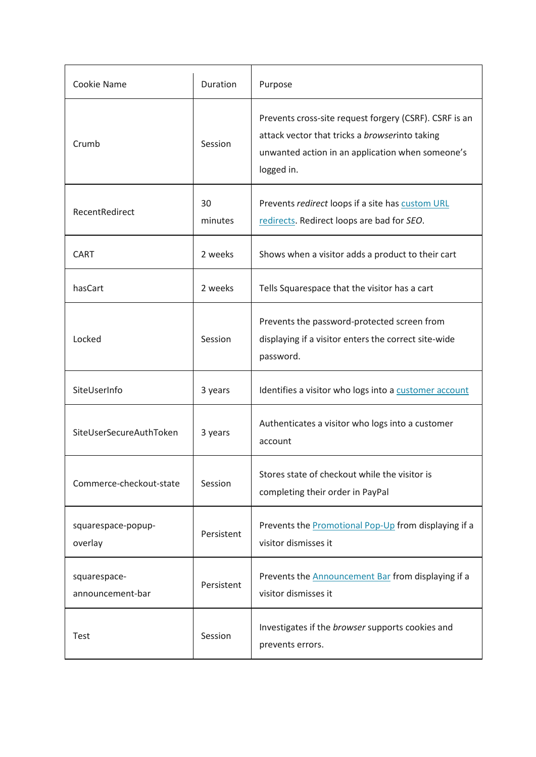| Cookie Name                      | Duration      | Purpose                                                                                                                                                                    |
|----------------------------------|---------------|----------------------------------------------------------------------------------------------------------------------------------------------------------------------------|
| Crumb                            | Session       | Prevents cross-site request forgery (CSRF). CSRF is an<br>attack vector that tricks a browserinto taking<br>unwanted action in an application when someone's<br>logged in. |
| RecentRedirect                   | 30<br>minutes | Prevents redirect loops if a site has custom URL<br>redirects. Redirect loops are bad for SEO.                                                                             |
| <b>CART</b>                      | 2 weeks       | Shows when a visitor adds a product to their cart                                                                                                                          |
| hasCart                          | 2 weeks       | Tells Squarespace that the visitor has a cart                                                                                                                              |
| Locked                           | Session       | Prevents the password-protected screen from<br>displaying if a visitor enters the correct site-wide<br>password.                                                           |
| SiteUserInfo                     | 3 years       | Identifies a visitor who logs into a customer account                                                                                                                      |
| SiteUserSecureAuthToken          | 3 years       | Authenticates a visitor who logs into a customer<br>account                                                                                                                |
| Commerce-checkout-state          | Session       | Stores state of checkout while the visitor is<br>completing their order in PayPal                                                                                          |
| squarespace-popup-<br>overlay    | Persistent    | Prevents the Promotional Pop-Up from displaying if a<br>visitor dismisses it                                                                                               |
| squarespace-<br>announcement-bar | Persistent    | Prevents the <b>Announcement Bar</b> from displaying if a<br>visitor dismisses it                                                                                          |
| Test                             | Session       | Investigates if the browser supports cookies and<br>prevents errors.                                                                                                       |